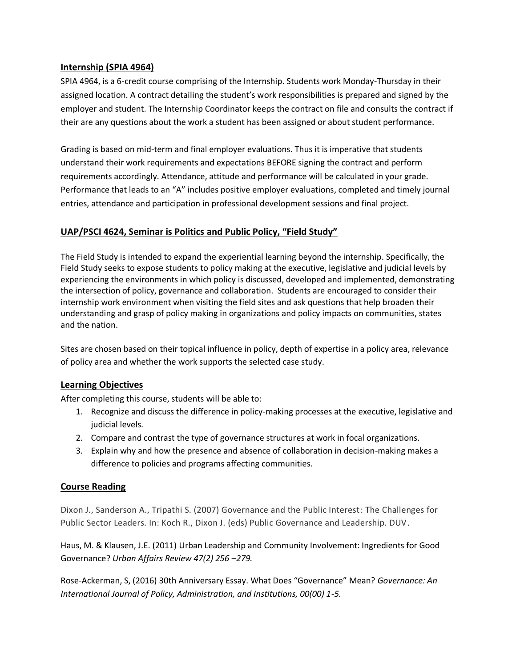## **Internship (SPIA 4964)**

SPIA 4964, is a 6-credit course comprising of the Internship. Students work Monday-Thursday in their assigned location. A contract detailing the student's work responsibilities is prepared and signed by the employer and student. The Internship Coordinator keeps the contract on file and consults the contract if their are any questions about the work a student has been assigned or about student performance.

Grading is based on mid-term and final employer evaluations. Thus it is imperative that students understand their work requirements and expectations BEFORE signing the contract and perform requirements accordingly. Attendance, attitude and performance will be calculated in your grade. Performance that leads to an "A" includes positive employer evaluations, completed and timely journal entries, attendance and participation in professional development sessions and final project.

# **UAP/PSCI 4624, Seminar is Politics and Public Policy, "Field Study"**

The Field Study is intended to expand the experiential learning beyond the internship. Specifically, the Field Study seeks to expose students to policy making at the executive, legislative and judicial levels by experiencing the environments in which policy is discussed, developed and implemented, demonstrating the intersection of policy, governance and collaboration. Students are encouraged to consider their internship work environment when visiting the field sites and ask questions that help broaden their understanding and grasp of policy making in organizations and policy impacts on communities, states and the nation.

Sites are chosen based on their topical influence in policy, depth of expertise in a policy area, relevance of policy area and whether the work supports the selected case study.

## **Learning Objectives**

After completing this course, students will be able to:

- 1. Recognize and discuss the difference in policy-making processes at the executive, legislative and judicial levels.
- 2. Compare and contrast the type of governance structures at work in focal organizations.
- 3. Explain why and how the presence and absence of collaboration in decision-making makes a difference to policies and programs affecting communities.

# **Course Reading**

Dixon J., Sanderson A., Tripathi S. (2007) Governance and the Public Interest: The Challenges for Public Sector Leaders. In: Koch R., Dixon J. (eds) Public Governance and Leadership. DUV.

Haus, M. & Klausen, J.E. (2011) Urban Leadership and Community Involvement: Ingredients for Good Governance? *Urban Affairs Review 47(2) 256 –279.*

Rose-Ackerman, S, (2016) 30th Anniversary Essay. What Does "Governance" Mean? *Governance: An International Journal of Policy, Administration, and Institutions, 00(00) 1-5.*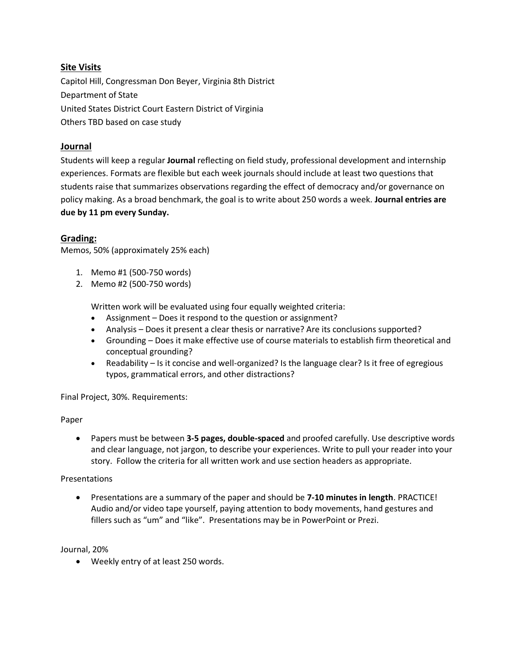## **Site Visits**

Capitol Hill, Congressman Don Beyer, Virginia 8th District Department of State United States District Court Eastern District of Virginia Others TBD based on case study

### **Journal**

Students will keep a regular **Journal** reflecting on field study, professional development and internship experiences. Formats are flexible but each week journals should include at least two questions that students raise that summarizes observations regarding the effect of democracy and/or governance on policy making. As a broad benchmark, the goal is to write about 250 words a week. **Journal entries are due by 11 pm every Sunday.**

### **Grading:**

Memos, 50% (approximately 25% each)

- 1. Memo #1 (500-750 words)
- 2. Memo #2 (500-750 words)

Written work will be evaluated using four equally weighted criteria:

- Assignment Does it respond to the question or assignment?
- Analysis Does it present a clear thesis or narrative? Are its conclusions supported?
- Grounding Does it make effective use of course materials to establish firm theoretical and conceptual grounding?
- Readability Is it concise and well‐organized? Is the language clear? Is it free of egregious typos, grammatical errors, and other distractions?

Final Project, 30%. Requirements:

#### Paper

• Papers must be between **3-5 pages, double-spaced** and proofed carefully. Use descriptive words and clear language, not jargon, to describe your experiences. Write to pull your reader into your story. Follow the criteria for all written work and use section headers as appropriate.

#### Presentations

• Presentations are a summary of the paper and should be **7-10 minutes in length**. PRACTICE! Audio and/or video tape yourself, paying attention to body movements, hand gestures and fillers such as "um" and "like". Presentations may be in PowerPoint or Prezi.

#### Journal, 20%

• Weekly entry of at least 250 words.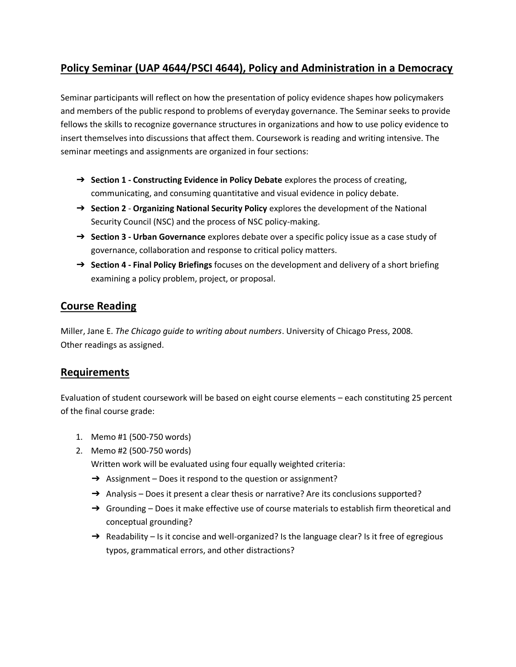# **Policy Seminar (UAP 4644/PSCI 4644), Policy and Administration in a Democracy**

Seminar participants will reflect on how the presentation of policy evidence shapes how policymakers and members of the public respond to problems of everyday governance. The Seminar seeks to provide fellows the skills to recognize governance structures in organizations and how to use policy evidence to insert themselves into discussions that affect them. Coursework is reading and writing intensive. The seminar meetings and assignments are organized in four sections:

- ➔ **Section 1 - Constructing Evidence in Policy Debate** explores the process of creating, communicating, and consuming quantitative and visual evidence in policy debate.
- ➔ **Section 2 Organizing National Security Policy** explores the development of the National Security Council (NSC) and the process of NSC policy-making.
- ➔ **Section 3 - Urban Governance** explores debate over a specific policy issue as a case study of governance, collaboration and response to critical policy matters.
- ➔ **Section 4 - Final Policy Briefings** focuses on the development and delivery of a short briefing examining a policy problem, project, or proposal.

# **Course Reading**

Miller, Jane E. *The Chicago guide to writing about numbers*. University of Chicago Press, 2008. Other readings as assigned.

# **Requirements**

Evaluation of student coursework will be based on eight course elements – each constituting 25 percent of the final course grade:

- 1. Memo #1 (500-750 words)
- 2. Memo #2 (500-750 words)

Written work will be evaluated using four equally weighted criteria:

- → Assignment Does it respond to the question or assignment?
- → Analysis Does it present a clear thesis or narrative? Are its conclusions supported?
- $\rightarrow$  Grounding Does it make effective use of course materials to establish firm theoretical and conceptual grounding?
- → Readability Is it concise and well-organized? Is the language clear? Is it free of egregious typos, grammatical errors, and other distractions?